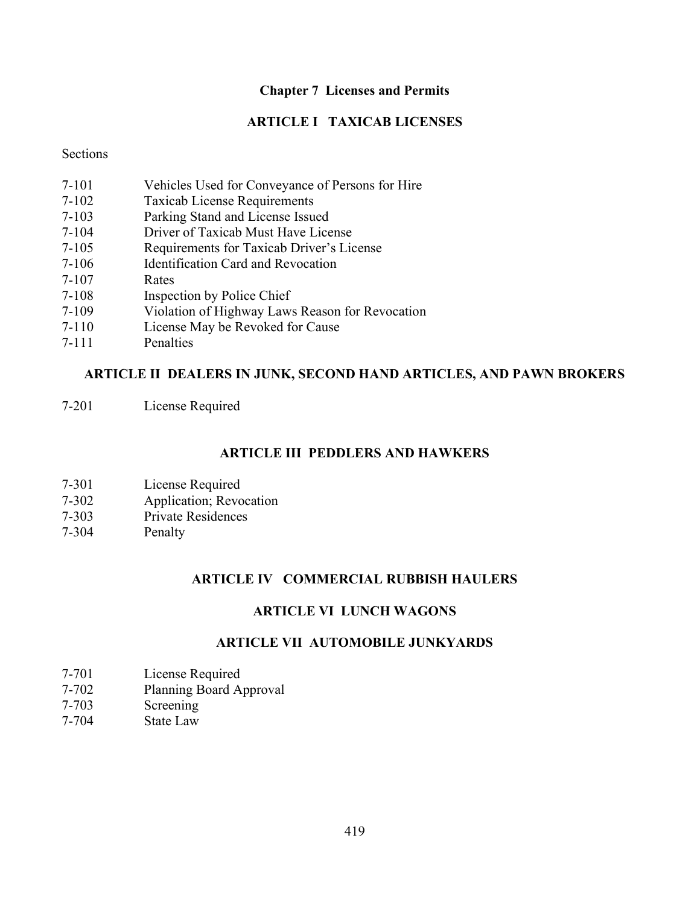### Chapter 7 Licenses and Permits

### ARTICLE I TAXICAB LICENSES

### **Sections**

- 7-101 Vehicles Used for Conveyance of Persons for Hire
- 7-102 Taxicab License Requirements
- 7-103 Parking Stand and License Issued
- 7-104 Driver of Taxicab Must Have License
- 7-105 Requirements for Taxicab Driver's License
- 7-106 Identification Card and Revocation
- 7-107 Rates
- 7-108 Inspection by Police Chief
- 7-109 Violation of Highway Laws Reason for Revocation
- 7-110 License May be Revoked for Cause
- 7-111 Penalties

### ARTICLE II DEALERS IN JUNK, SECOND HAND ARTICLES, AND PAWN BROKERS

7-201 License Required

### ARTICLE III PEDDLERS AND HAWKERS

- 7-301 License Required
- 7-302 Application; Revocation
- 7-303 Private Residences
- 7-304 Penalty

### ARTICLE IV COMMERCIAL RUBBISH HAULERS

### ARTICLE VI LUNCH WAGONS

## ARTICLE VII AUTOMOBILE JUNKYARDS

- 7-701 License Required
- 7-702 Planning Board Approval
- 7-703 Screening
- 7-704 State Law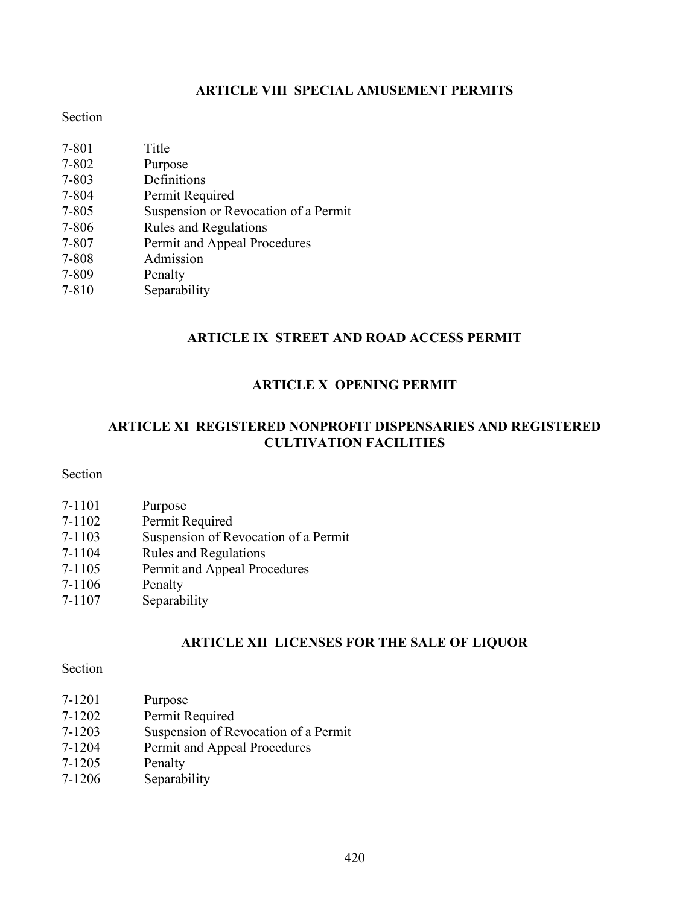# ARTICLE VIII SPECIAL AMUSEMENT PERMITS

### Section

| 7-801     | Title                                |
|-----------|--------------------------------------|
| 7-802     | Purpose                              |
| 7-803     | Definitions                          |
| 7-804     | Permit Required                      |
| $7 - 805$ | Suspension or Revocation of a Permit |
| 7-806     | <b>Rules and Regulations</b>         |
| 7-807     | Permit and Appeal Procedures         |
| 7-808     | Admission                            |
| 7-809     | Penalty                              |
| $7 - 810$ | Separability                         |

## ARTICLE IX STREET AND ROAD ACCESS PERMIT

## ARTICLE X OPENING PERMIT

## ARTICLE XI REGISTERED NONPROFIT DISPENSARIES AND REGISTERED CULTIVATION FACILITIES

# Section

| Purpose                              |
|--------------------------------------|
| Permit Required                      |
| Suspension of Revocation of a Permit |
| <b>Rules and Regulations</b>         |
| Permit and Appeal Procedures         |
| Penalty                              |
| Separability                         |
|                                      |

# ARTICLE XII LICENSES FOR THE SALE OF LIQUOR

## Section

| 7-1201     | Purpose                              |
|------------|--------------------------------------|
| $7 - 1202$ | Permit Required                      |
| $7 - 1203$ | Suspension of Revocation of a Permit |
| $7 - 1204$ | Permit and Appeal Procedures         |
| $7 - 1205$ | Penalty                              |
| 7-1206     | Separability                         |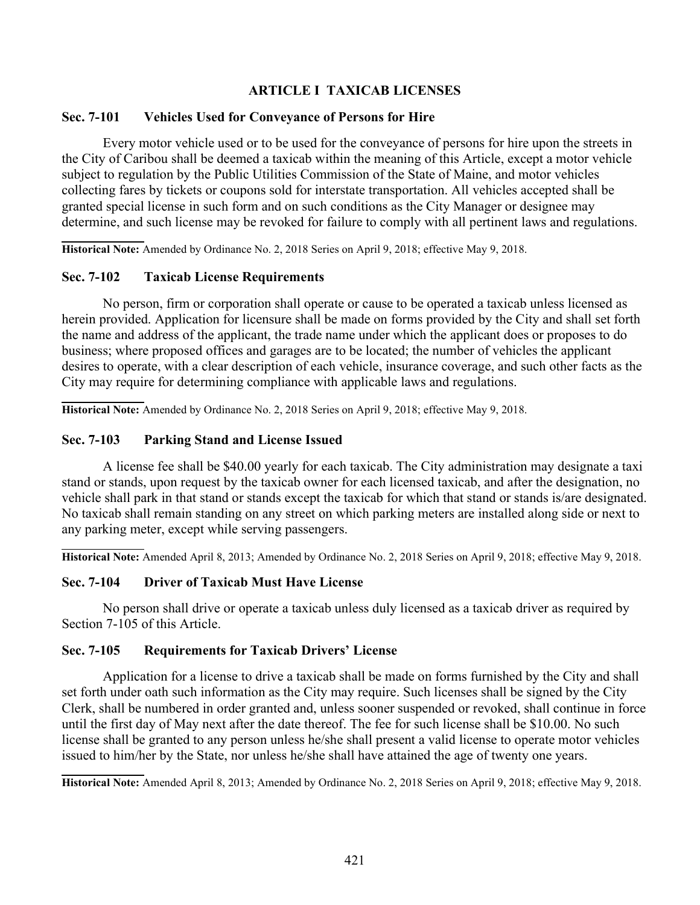## ARTICLE I TAXICAB LICENSES

### Sec. 7-101 Vehicles Used for Conveyance of Persons for Hire

Every motor vehicle used or to be used for the conveyance of persons for hire upon the streets in the City of Caribou shall be deemed a taxicab within the meaning of this Article, except a motor vehicle subject to regulation by the Public Utilities Commission of the State of Maine, and motor vehicles collecting fares by tickets or coupons sold for interstate transportation. All vehicles accepted shall be granted special license in such form and on such conditions as the City Manager or designee may determine, and such license may be revoked for failure to comply with all pertinent laws and regulations.

Historical Note: Amended by Ordinance No. 2, 2018 Series on April 9, 2018; effective May 9, 2018.

### Sec. 7-102 Taxicab License Requirements

No person, firm or corporation shall operate or cause to be operated a taxicab unless licensed as herein provided. Application for licensure shall be made on forms provided by the City and shall set forth the name and address of the applicant, the trade name under which the applicant does or proposes to do business; where proposed offices and garages are to be located; the number of vehicles the applicant desires to operate, with a clear description of each vehicle, insurance coverage, and such other facts as the City may require for determining compliance with applicable laws and regulations.

 Historical Note: Amended by Ordinance No. 2, 2018 Series on April 9, 2018; effective May 9, 2018.

### Sec. 7-103 Parking Stand and License Issued

A license fee shall be \$40.00 yearly for each taxicab. The City administration may designate a taxi stand or stands, upon request by the taxicab owner for each licensed taxicab, and after the designation, no vehicle shall park in that stand or stands except the taxicab for which that stand or stands is/are designated. No taxicab shall remain standing on any street on which parking meters are installed along side or next to any parking meter, except while serving passengers.

 Historical Note: Amended April 8, 2013; Amended by Ordinance No. 2, 2018 Series on April 9, 2018; effective May 9, 2018.

### Sec. 7-104 Driver of Taxicab Must Have License

No person shall drive or operate a taxicab unless duly licensed as a taxicab driver as required by Section 7-105 of this Article.

### Sec. 7-105 Requirements for Taxicab Drivers' License

Application for a license to drive a taxicab shall be made on forms furnished by the City and shall set forth under oath such information as the City may require. Such licenses shall be signed by the City Clerk, shall be numbered in order granted and, unless sooner suspended or revoked, shall continue in force until the first day of May next after the date thereof. The fee for such license shall be \$10.00. No such license shall be granted to any person unless he/she shall present a valid license to operate motor vehicles issued to him/her by the State, nor unless he/she shall have attained the age of twenty one years.

Historical Note: Amended April 8, 2013; Amended by Ordinance No. 2, 2018 Series on April 9, 2018; effective May 9, 2018.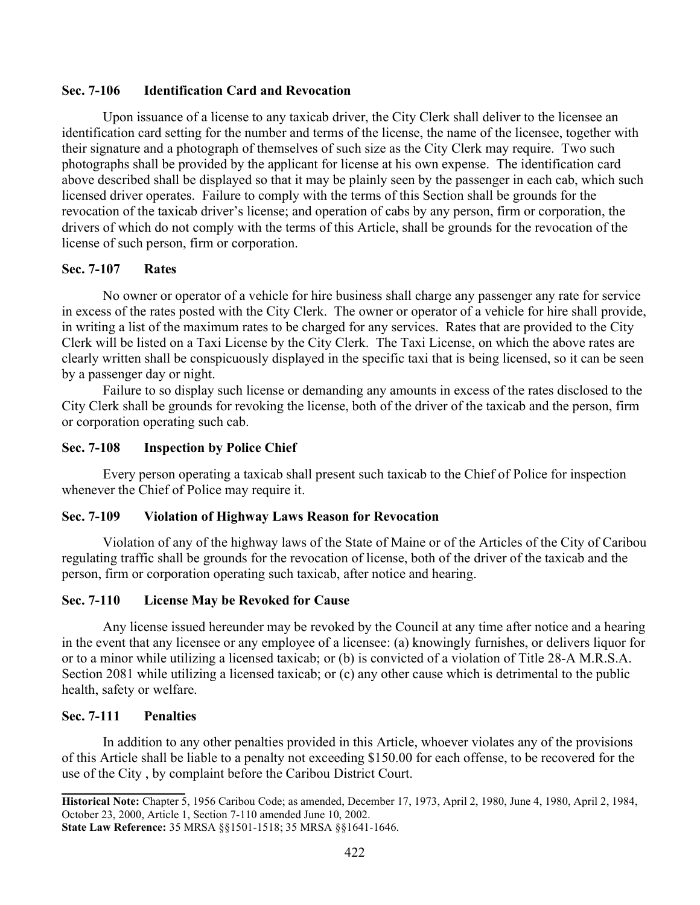### Sec. 7-106 Identification Card and Revocation

Upon issuance of a license to any taxicab driver, the City Clerk shall deliver to the licensee an identification card setting for the number and terms of the license, the name of the licensee, together with their signature and a photograph of themselves of such size as the City Clerk may require. Two such photographs shall be provided by the applicant for license at his own expense. The identification card above described shall be displayed so that it may be plainly seen by the passenger in each cab, which such licensed driver operates. Failure to comply with the terms of this Section shall be grounds for the revocation of the taxicab driver's license; and operation of cabs by any person, firm or corporation, the drivers of which do not comply with the terms of this Article, shall be grounds for the revocation of the license of such person, firm or corporation.

### Sec. 7-107 Rates

No owner or operator of a vehicle for hire business shall charge any passenger any rate for service in excess of the rates posted with the City Clerk. The owner or operator of a vehicle for hire shall provide, in writing a list of the maximum rates to be charged for any services. Rates that are provided to the City Clerk will be listed on a Taxi License by the City Clerk. The Taxi License, on which the above rates are clearly written shall be conspicuously displayed in the specific taxi that is being licensed, so it can be seen by a passenger day or night.

Failure to so display such license or demanding any amounts in excess of the rates disclosed to the City Clerk shall be grounds for revoking the license, both of the driver of the taxicab and the person, firm or corporation operating such cab.

### Sec. 7-108 Inspection by Police Chief

Every person operating a taxicab shall present such taxicab to the Chief of Police for inspection whenever the Chief of Police may require it.

#### Sec. 7-109 Violation of Highway Laws Reason for Revocation

Violation of any of the highway laws of the State of Maine or of the Articles of the City of Caribou regulating traffic shall be grounds for the revocation of license, both of the driver of the taxicab and the person, firm or corporation operating such taxicab, after notice and hearing.

### Sec. 7-110 License May be Revoked for Cause

Any license issued hereunder may be revoked by the Council at any time after notice and a hearing in the event that any licensee or any employee of a licensee: (a) knowingly furnishes, or delivers liquor for or to a minor while utilizing a licensed taxicab; or (b) is convicted of a violation of Title 28-A M.R.S.A. Section 2081 while utilizing a licensed taxicab; or (c) any other cause which is detrimental to the public health, safety or welfare.

### Sec. 7-111 Penalties

In addition to any other penalties provided in this Article, whoever violates any of the provisions of this Article shall be liable to a penalty not exceeding \$150.00 for each offense, to be recovered for the use of the City , by complaint before the Caribou District Court.

Historical Note: Chapter 5, 1956 Caribou Code; as amended, December 17, 1973, April 2, 1980, June 4, 1980, April 2, 1984, October 23, 2000, Article 1, Section 7-110 amended June 10, 2002.

State Law Reference: 35 MRSA §§1501-1518; 35 MRSA §§1641-1646.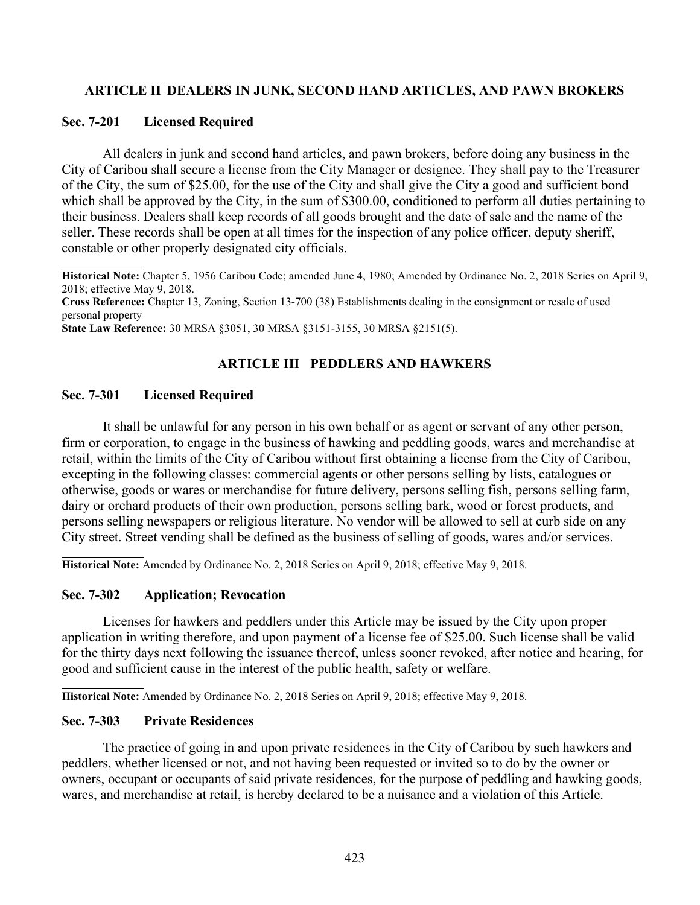### ARTICLE II DEALERS IN JUNK, SECOND HAND ARTICLES, AND PAWN BROKERS

### Sec. 7-201 Licensed Required

All dealers in junk and second hand articles, and pawn brokers, before doing any business in the City of Caribou shall secure a license from the City Manager or designee. They shall pay to the Treasurer of the City, the sum of \$25.00, for the use of the City and shall give the City a good and sufficient bond which shall be approved by the City, in the sum of \$300.00, conditioned to perform all duties pertaining to their business. Dealers shall keep records of all goods brought and the date of sale and the name of the seller. These records shall be open at all times for the inspection of any police officer, deputy sheriff, constable or other properly designated city officials.

Historical Note: Chapter 5, 1956 Caribou Code; amended June 4, 1980; Amended by Ordinance No. 2, 2018 Series on April 9, 2018; effective May 9, 2018. Cross Reference: Chapter 13, Zoning, Section 13-700 (38) Establishments dealing in the consignment or resale of used personal property State Law Reference: 30 MRSA §3051, 30 MRSA §3151-3155, 30 MRSA §2151(5).

### ARTICLE III PEDDLERS AND HAWKERS

### Sec. 7-301 Licensed Required

It shall be unlawful for any person in his own behalf or as agent or servant of any other person, firm or corporation, to engage in the business of hawking and peddling goods, wares and merchandise at retail, within the limits of the City of Caribou without first obtaining a license from the City of Caribou, excepting in the following classes: commercial agents or other persons selling by lists, catalogues or otherwise, goods or wares or merchandise for future delivery, persons selling fish, persons selling farm, dairy or orchard products of their own production, persons selling bark, wood or forest products, and persons selling newspapers or religious literature. No vendor will be allowed to sell at curb side on any City street. Street vending shall be defined as the business of selling of goods, wares and/or services.

 Historical Note: Amended by Ordinance No. 2, 2018 Series on April 9, 2018; effective May 9, 2018.

### Sec. 7-302 Application; Revocation

Licenses for hawkers and peddlers under this Article may be issued by the City upon proper application in writing therefore, and upon payment of a license fee of \$25.00. Such license shall be valid for the thirty days next following the issuance thereof, unless sooner revoked, after notice and hearing, for good and sufficient cause in the interest of the public health, safety or welfare.

Historical Note: Amended by Ordinance No. 2, 2018 Series on April 9, 2018; effective May 9, 2018.

#### Sec. 7-303 Private Residences

The practice of going in and upon private residences in the City of Caribou by such hawkers and peddlers, whether licensed or not, and not having been requested or invited so to do by the owner or owners, occupant or occupants of said private residences, for the purpose of peddling and hawking goods, wares, and merchandise at retail, is hereby declared to be a nuisance and a violation of this Article.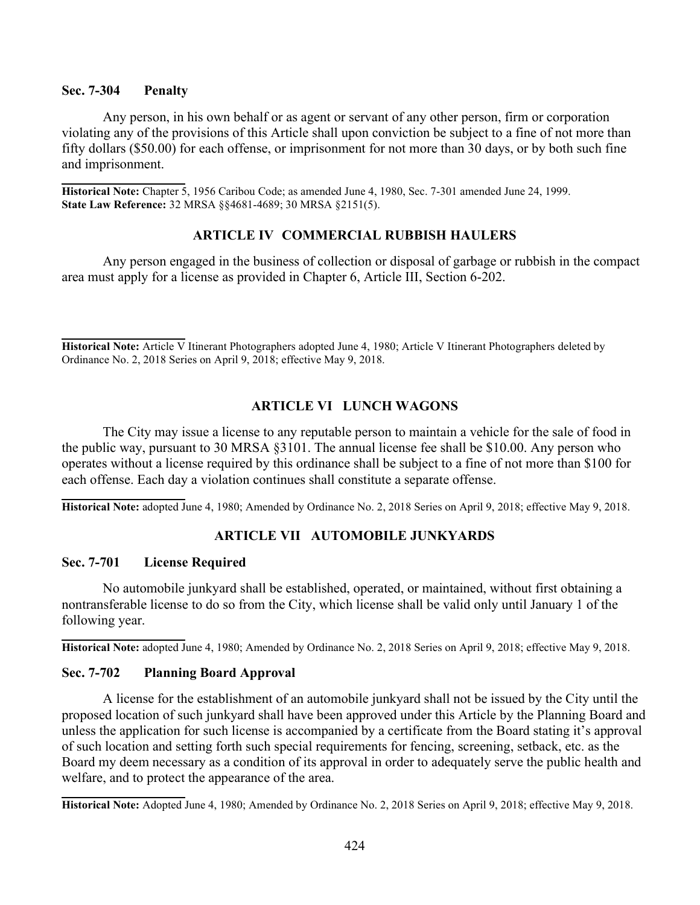#### Sec. 7-304 Penalty

Any person, in his own behalf or as agent or servant of any other person, firm or corporation violating any of the provisions of this Article shall upon conviction be subject to a fine of not more than fifty dollars (\$50.00) for each offense, or imprisonment for not more than 30 days, or by both such fine and imprisonment.

Historical Note: Chapter 5, 1956 Caribou Code; as amended June 4, 1980, Sec. 7-301 amended June 24, 1999. State Law Reference: 32 MRSA §§4681-4689; 30 MRSA §2151(5).

### ARTICLE IV COMMERCIAL RUBBISH HAULERS

Any person engaged in the business of collection or disposal of garbage or rubbish in the compact area must apply for a license as provided in Chapter 6, Article III, Section 6-202.

Historical Note: Article V Itinerant Photographers adopted June 4, 1980; Article V Itinerant Photographers deleted by Ordinance No. 2, 2018 Series on April 9, 2018; effective May 9, 2018.

### ARTICLE VI LUNCH WAGONS

The City may issue a license to any reputable person to maintain a vehicle for the sale of food in the public way, pursuant to 30 MRSA §3101. The annual license fee shall be \$10.00. Any person who operates without a license required by this ordinance shall be subject to a fine of not more than \$100 for each offense. Each day a violation continues shall constitute a separate offense.

Historical Note: adopted June 4, 1980; Amended by Ordinance No. 2, 2018 Series on April 9, 2018; effective May 9, 2018.

# ARTICLE VII AUTOMOBILE JUNKYARDS

#### Sec. 7-701 License Required

No automobile junkyard shall be established, operated, or maintained, without first obtaining a nontransferable license to do so from the City, which license shall be valid only until January 1 of the following year.

Historical Note: adopted June 4, 1980; Amended by Ordinance No. 2, 2018 Series on April 9, 2018; effective May 9, 2018.

#### Sec. 7-702 Planning Board Approval

A license for the establishment of an automobile junkyard shall not be issued by the City until the proposed location of such junkyard shall have been approved under this Article by the Planning Board and unless the application for such license is accompanied by a certificate from the Board stating it's approval of such location and setting forth such special requirements for fencing, screening, setback, etc. as the Board my deem necessary as a condition of its approval in order to adequately serve the public health and welfare, and to protect the appearance of the area.

Historical Note: Adopted June 4, 1980; Amended by Ordinance No. 2, 2018 Series on April 9, 2018; effective May 9, 2018.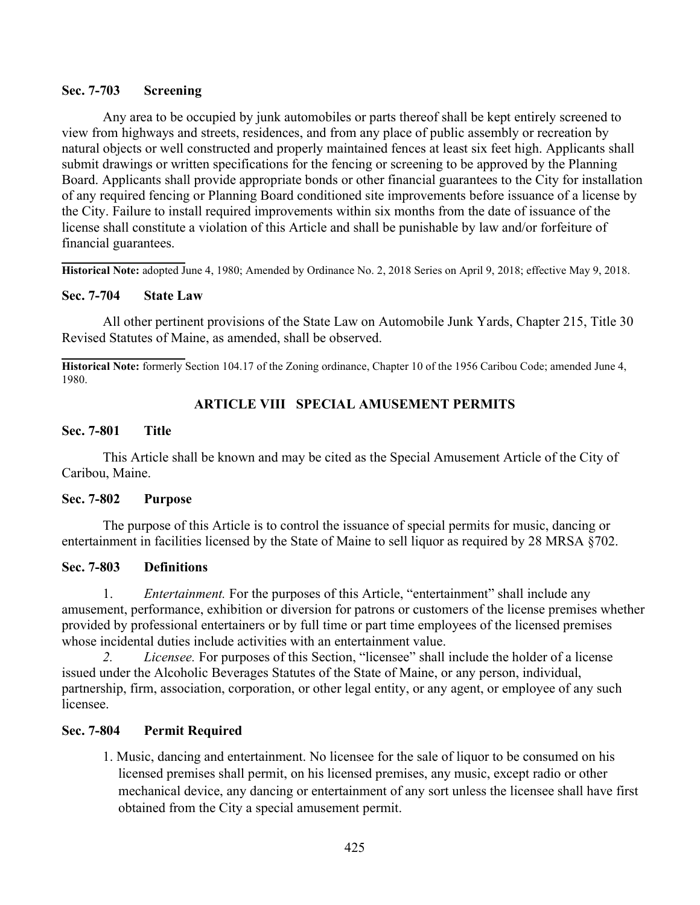### Sec. 7-703 Screening

Any area to be occupied by junk automobiles or parts thereof shall be kept entirely screened to view from highways and streets, residences, and from any place of public assembly or recreation by natural objects or well constructed and properly maintained fences at least six feet high. Applicants shall submit drawings or written specifications for the fencing or screening to be approved by the Planning Board. Applicants shall provide appropriate bonds or other financial guarantees to the City for installation of any required fencing or Planning Board conditioned site improvements before issuance of a license by the City. Failure to install required improvements within six months from the date of issuance of the license shall constitute a violation of this Article and shall be punishable by law and/or forfeiture of financial guarantees.

 Historical Note: adopted June 4, 1980; Amended by Ordinance No. 2, 2018 Series on April 9, 2018; effective May 9, 2018.

### Sec. 7-704 State Law

All other pertinent provisions of the State Law on Automobile Junk Yards, Chapter 215, Title 30 Revised Statutes of Maine, as amended, shall be observed.

l Historical Note: formerly Section 104.17 of the Zoning ordinance, Chapter 10 of the 1956 Caribou Code; amended June 4, 1980.

### ARTICLE VIII SPECIAL AMUSEMENT PERMITS

#### Sec. 7-801 Title

This Article shall be known and may be cited as the Special Amusement Article of the City of Caribou, Maine.

### Sec. 7-802 Purpose

The purpose of this Article is to control the issuance of special permits for music, dancing or entertainment in facilities licensed by the State of Maine to sell liquor as required by 28 MRSA §702.

#### Sec. 7-803 Definitions

1. Entertainment. For the purposes of this Article, "entertainment" shall include any amusement, performance, exhibition or diversion for patrons or customers of the license premises whether provided by professional entertainers or by full time or part time employees of the licensed premises whose incidental duties include activities with an entertainment value.

2. Licensee. For purposes of this Section, "licensee" shall include the holder of a license issued under the Alcoholic Beverages Statutes of the State of Maine, or any person, individual, partnership, firm, association, corporation, or other legal entity, or any agent, or employee of any such licensee.

### Sec. 7-804 Permit Required

1. Music, dancing and entertainment. No licensee for the sale of liquor to be consumed on his licensed premises shall permit, on his licensed premises, any music, except radio or other mechanical device, any dancing or entertainment of any sort unless the licensee shall have first obtained from the City a special amusement permit.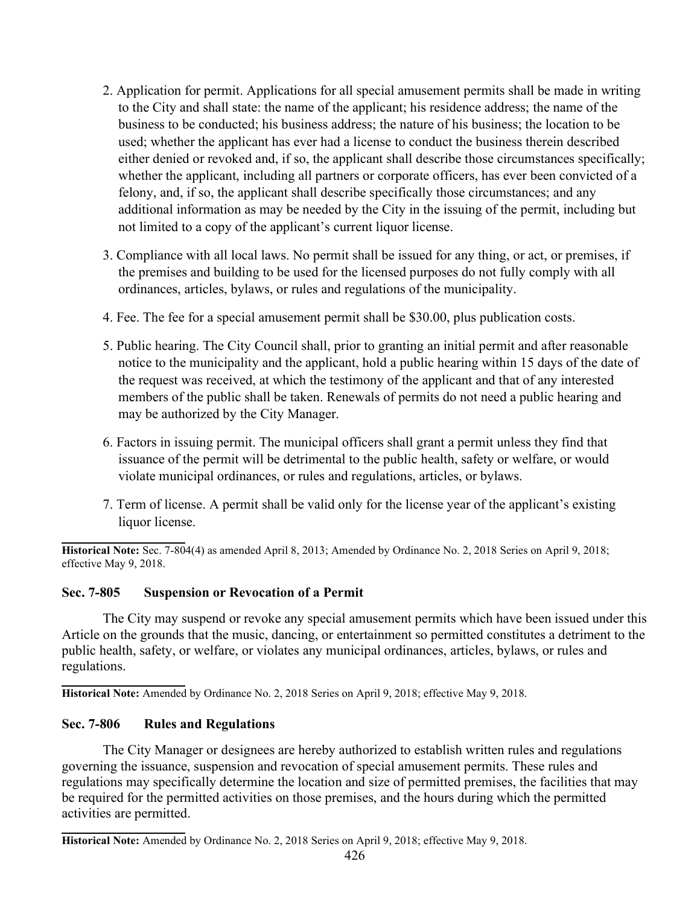- 2. Application for permit. Applications for all special amusement permits shall be made in writing to the City and shall state: the name of the applicant; his residence address; the name of the business to be conducted; his business address; the nature of his business; the location to be used; whether the applicant has ever had a license to conduct the business therein described either denied or revoked and, if so, the applicant shall describe those circumstances specifically; whether the applicant, including all partners or corporate officers, has ever been convicted of a felony, and, if so, the applicant shall describe specifically those circumstances; and any additional information as may be needed by the City in the issuing of the permit, including but not limited to a copy of the applicant's current liquor license.
- 3. Compliance with all local laws. No permit shall be issued for any thing, or act, or premises, if the premises and building to be used for the licensed purposes do not fully comply with all ordinances, articles, bylaws, or rules and regulations of the municipality.
- 4. Fee. The fee for a special amusement permit shall be \$30.00, plus publication costs.
- 5. Public hearing. The City Council shall, prior to granting an initial permit and after reasonable notice to the municipality and the applicant, hold a public hearing within 15 days of the date of the request was received, at which the testimony of the applicant and that of any interested members of the public shall be taken. Renewals of permits do not need a public hearing and may be authorized by the City Manager.
- 6. Factors in issuing permit. The municipal officers shall grant a permit unless they find that issuance of the permit will be detrimental to the public health, safety or welfare, or would violate municipal ordinances, or rules and regulations, articles, or bylaws.
- 7. Term of license. A permit shall be valid only for the license year of the applicant's existing liquor license.

 Historical Note: Sec. 7-804(4) as amended April 8, 2013; Amended by Ordinance No. 2, 2018 Series on April 9, 2018; effective May 9, 2018.

## Sec. 7-805 Suspension or Revocation of a Permit

The City may suspend or revoke any special amusement permits which have been issued under this Article on the grounds that the music, dancing, or entertainment so permitted constitutes a detriment to the public health, safety, or welfare, or violates any municipal ordinances, articles, bylaws, or rules and regulations.

 Historical Note: Amended by Ordinance No. 2, 2018 Series on April 9, 2018; effective May 9, 2018.

## Sec. 7-806 Rules and Regulations

The City Manager or designees are hereby authorized to establish written rules and regulations governing the issuance, suspension and revocation of special amusement permits. These rules and regulations may specifically determine the location and size of permitted premises, the facilities that may be required for the permitted activities on those premises, and the hours during which the permitted activities are permitted.

 Historical Note: Amended by Ordinance No. 2, 2018 Series on April 9, 2018; effective May 9, 2018.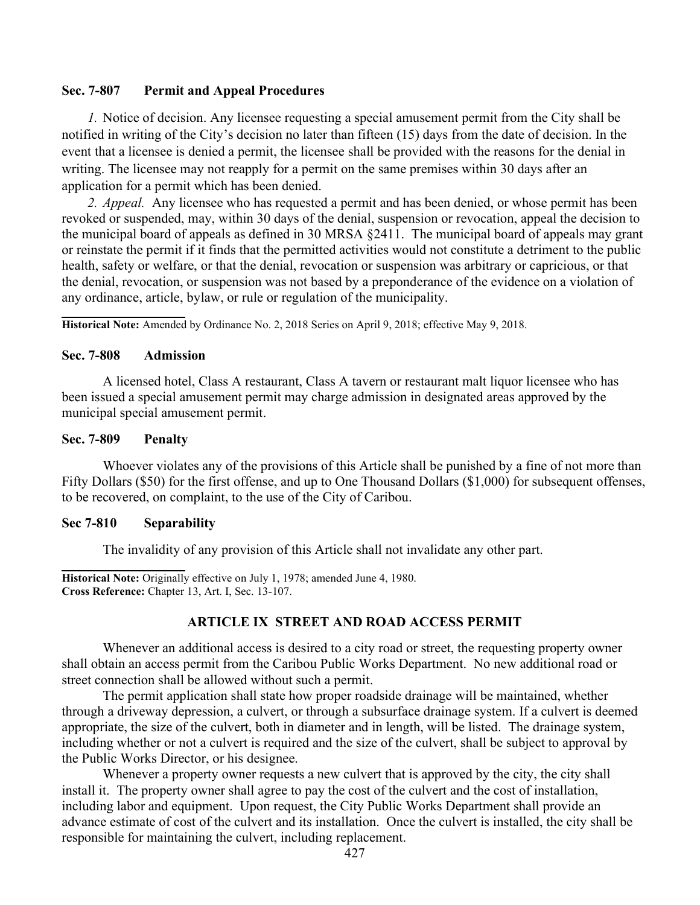### Sec. 7-807 Permit and Appeal Procedures

1. Notice of decision. Any licensee requesting a special amusement permit from the City shall be notified in writing of the City's decision no later than fifteen (15) days from the date of decision. In the event that a licensee is denied a permit, the licensee shall be provided with the reasons for the denial in writing. The licensee may not reapply for a permit on the same premises within 30 days after an application for a permit which has been denied.

2. Appeal. Any licensee who has requested a permit and has been denied, or whose permit has been revoked or suspended, may, within 30 days of the denial, suspension or revocation, appeal the decision to the municipal board of appeals as defined in 30 MRSA §2411. The municipal board of appeals may grant or reinstate the permit if it finds that the permitted activities would not constitute a detriment to the public health, safety or welfare, or that the denial, revocation or suspension was arbitrary or capricious, or that the denial, revocation, or suspension was not based by a preponderance of the evidence on a violation of any ordinance, article, bylaw, or rule or regulation of the municipality.

Historical Note: Amended by Ordinance No. 2, 2018 Series on April 9, 2018; effective May 9, 2018.

#### Sec. 7-808 Admission

A licensed hotel, Class A restaurant, Class A tavern or restaurant malt liquor licensee who has been issued a special amusement permit may charge admission in designated areas approved by the municipal special amusement permit.

### Sec. 7-809 Penalty

Whoever violates any of the provisions of this Article shall be punished by a fine of not more than Fifty Dollars (\$50) for the first offense, and up to One Thousand Dollars (\$1,000) for subsequent offenses, to be recovered, on complaint, to the use of the City of Caribou.

#### Sec 7-810 Separability

The invalidity of any provision of this Article shall not invalidate any other part.

l Historical Note: Originally effective on July 1, 1978; amended June 4, 1980. Cross Reference: Chapter 13, Art. I, Sec. 13-107.

### ARTICLE IX STREET AND ROAD ACCESS PERMIT

Whenever an additional access is desired to a city road or street, the requesting property owner shall obtain an access permit from the Caribou Public Works Department. No new additional road or street connection shall be allowed without such a permit.

The permit application shall state how proper roadside drainage will be maintained, whether through a driveway depression, a culvert, or through a subsurface drainage system. If a culvert is deemed appropriate, the size of the culvert, both in diameter and in length, will be listed. The drainage system, including whether or not a culvert is required and the size of the culvert, shall be subject to approval by the Public Works Director, or his designee.

Whenever a property owner requests a new culvert that is approved by the city, the city shall install it. The property owner shall agree to pay the cost of the culvert and the cost of installation, including labor and equipment. Upon request, the City Public Works Department shall provide an advance estimate of cost of the culvert and its installation. Once the culvert is installed, the city shall be responsible for maintaining the culvert, including replacement.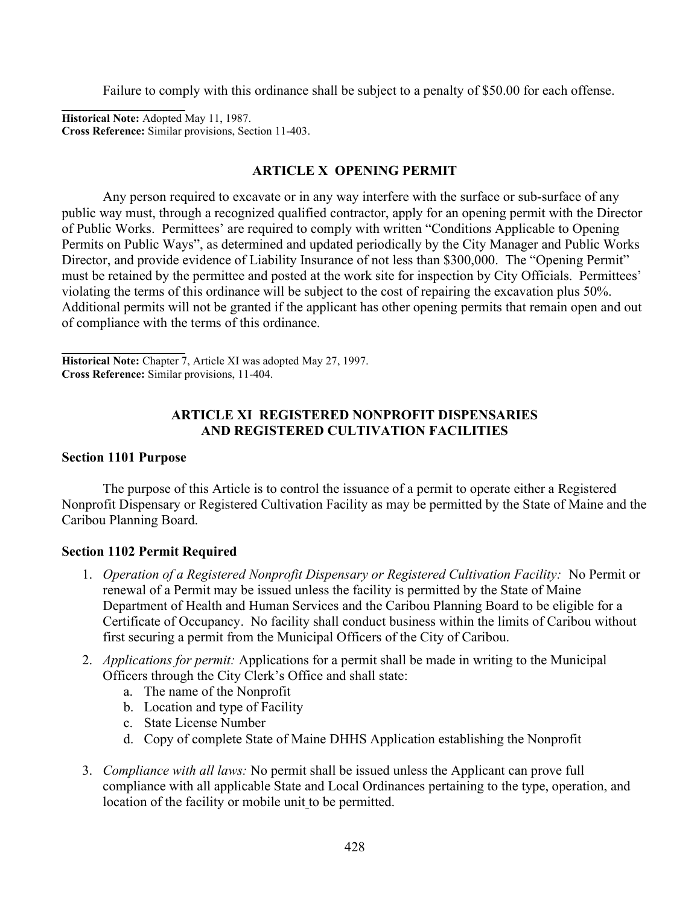Failure to comply with this ordinance shall be subject to a penalty of \$50.00 for each offense.

Historical Note: Adopted May 11, 1987. Cross Reference: Similar provisions, Section 11-403.

### ARTICLE X OPENING PERMIT

Any person required to excavate or in any way interfere with the surface or sub-surface of any public way must, through a recognized qualified contractor, apply for an opening permit with the Director of Public Works. Permittees' are required to comply with written "Conditions Applicable to Opening Permits on Public Ways", as determined and updated periodically by the City Manager and Public Works Director, and provide evidence of Liability Insurance of not less than \$300,000. The "Opening Permit" must be retained by the permittee and posted at the work site for inspection by City Officials. Permittees' violating the terms of this ordinance will be subject to the cost of repairing the excavation plus 50%. Additional permits will not be granted if the applicant has other opening permits that remain open and out of compliance with the terms of this ordinance.

 Historical Note: Chapter 7, Article XI was adopted May 27, 1997. Cross Reference: Similar provisions, 11-404.

### ARTICLE XI REGISTERED NONPROFIT DISPENSARIES AND REGISTERED CULTIVATION FACILITIES

### Section 1101 Purpose

The purpose of this Article is to control the issuance of a permit to operate either a Registered Nonprofit Dispensary or Registered Cultivation Facility as may be permitted by the State of Maine and the Caribou Planning Board.

### Section 1102 Permit Required

- 1. Operation of a Registered Nonprofit Dispensary or Registered Cultivation Facility: No Permit or renewal of a Permit may be issued unless the facility is permitted by the State of Maine Department of Health and Human Services and the Caribou Planning Board to be eligible for a Certificate of Occupancy. No facility shall conduct business within the limits of Caribou without first securing a permit from the Municipal Officers of the City of Caribou.
- 2. Applications for permit: Applications for a permit shall be made in writing to the Municipal Officers through the City Clerk's Office and shall state:
	- a. The name of the Nonprofit
	- b. Location and type of Facility
	- c. State License Number
	- d. Copy of complete State of Maine DHHS Application establishing the Nonprofit
- 3. Compliance with all laws: No permit shall be issued unless the Applicant can prove full compliance with all applicable State and Local Ordinances pertaining to the type, operation, and location of the facility or mobile unit to be permitted.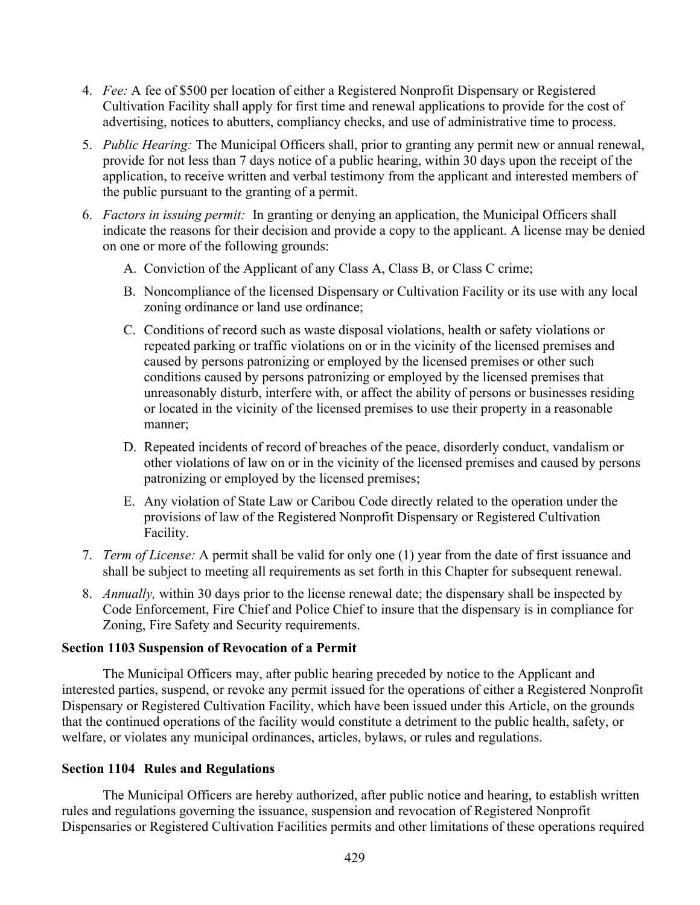- 4. Fee: A fee of \$500 per location of either a Registered Nonprofit Dispensary or Registered Cultivation Facility shall apply for first time and renewal applications to provide for the cost of advertising, notices to abutters, compliancy checks, and use of administrative time to process.
- 5. Public Hearing: The Municipal Officers shall, prior to granting any permit new or annual renewal, provide for not less than 7 days notice of a public hearing, within 30 days upon the receipt of the application, to receive written and verbal testimony from the applicant and interested members of the public pursuant to the granting of a permit.
- 6. Factors in issuing permit: In granting or denying an application, the Municipal Officers shall indicate the reasons for their decision and provide a copy to the applicant. A license may be denied on one or more of the following grounds:
	- A. Conviction of the Applicant of any Class A, Class B, or Class C crime;
	- B. Noncompliance of the licensed Dispensary or Cultivation Facility or its use with any local zoning ordinance or land use ordinance;
	- C. Conditions of record such as waste disposal violations, health or safety violations or repeated parking or traffic violations on or in the vicinity of the licensed premises and caused by persons patronizing or employed by the licensed premises or other such conditions caused by persons patronizing or employed by the licensed premises that unreasonably disturb, interfere with, or affect the ability of persons or businesses residing or located in the vicinity of the licensed premises to use their property in a reasonable manner;
	- D. Repeated incidents of record of breaches of the peace, disorderly conduct, vandalism or other violations of law on or in the vicinity of the licensed premises and caused by persons patronizing or employed by the licensed premises;
	- E. Any violation of State Law or Caribou Code directly related to the operation under the provisions of law of the Registered Nonprofit Dispensary or Registered Cultivation Facility.
- 7. Term of License: A permit shall be valid for only one (1) year from the date of first issuance and shall be subject to meeting all requirements as set forth in this Chapter for subsequent renewal.
- 8. Annually, within 30 days prior to the license renewal date; the dispensary shall be inspected by Code Enforcement, Fire Chief and Police Chief to insure that the dispensary is in compliance for Zoning, Fire Safety and Security requirements.

### Section 1103 Suspension of Revocation of a Permit

The Municipal Officers may, after public hearing preceded by notice to the Applicant and interested parties, suspend, or revoke any permit issued for the operations of either a Registered Nonprofit Dispensary or Registered Cultivation Facility, which have been issued under this Article, on the grounds that the continued operations of the facility would constitute a detriment to the public health, safety, or welfare, or violates any municipal ordinances, articles, bylaws, or rules and regulations.

### Section 1104 Rules and Regulations

The Municipal Officers are hereby authorized, after public notice and hearing, to establish written rules and regulations governing the issuance, suspension and revocation of Registered Nonprofit Dispensaries or Registered Cultivation Facilities permits and other limitations of these operations required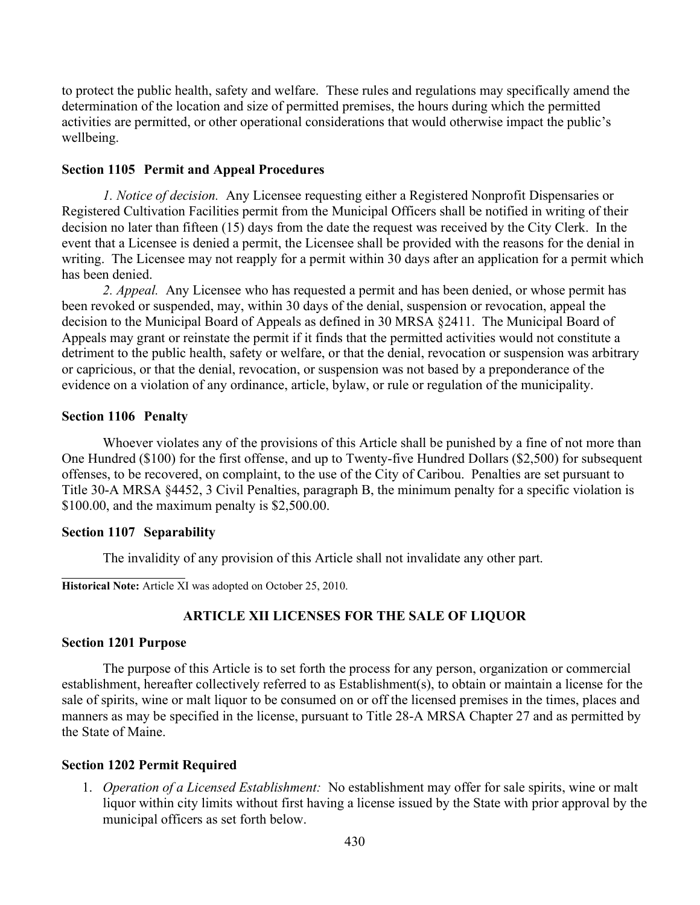to protect the public health, safety and welfare. These rules and regulations may specifically amend the determination of the location and size of permitted premises, the hours during which the permitted activities are permitted, or other operational considerations that would otherwise impact the public's wellbeing.

#### Section 1105 Permit and Appeal Procedures

1. Notice of decision. Any Licensee requesting either a Registered Nonprofit Dispensaries or Registered Cultivation Facilities permit from the Municipal Officers shall be notified in writing of their decision no later than fifteen (15) days from the date the request was received by the City Clerk. In the event that a Licensee is denied a permit, the Licensee shall be provided with the reasons for the denial in writing. The Licensee may not reapply for a permit within 30 days after an application for a permit which has been denied.

2. *Appeal.* Any Licensee who has requested a permit and has been denied, or whose permit has been revoked or suspended, may, within 30 days of the denial, suspension or revocation, appeal the decision to the Municipal Board of Appeals as defined in 30 MRSA §2411. The Municipal Board of Appeals may grant or reinstate the permit if it finds that the permitted activities would not constitute a detriment to the public health, safety or welfare, or that the denial, revocation or suspension was arbitrary or capricious, or that the denial, revocation, or suspension was not based by a preponderance of the evidence on a violation of any ordinance, article, bylaw, or rule or regulation of the municipality.

#### Section 1106 Penalty

Whoever violates any of the provisions of this Article shall be punished by a fine of not more than One Hundred (\$100) for the first offense, and up to Twenty-five Hundred Dollars (\$2,500) for subsequent offenses, to be recovered, on complaint, to the use of the City of Caribou. Penalties are set pursuant to Title 30-A MRSA §4452, 3 Civil Penalties, paragraph B, the minimum penalty for a specific violation is \$100.00, and the maximum penalty is \$2,500.00.

#### Section 1107 Separability

The invalidity of any provision of this Article shall not invalidate any other part.

Historical Note: Article XI was adopted on October 25, 2010.

### ARTICLE XII LICENSES FOR THE SALE OF LIQUOR

#### Section 1201 Purpose

The purpose of this Article is to set forth the process for any person, organization or commercial establishment, hereafter collectively referred to as Establishment(s), to obtain or maintain a license for the sale of spirits, wine or malt liquor to be consumed on or off the licensed premises in the times, places and manners as may be specified in the license, pursuant to Title 28-A MRSA Chapter 27 and as permitted by the State of Maine.

#### Section 1202 Permit Required

1. Operation of a Licensed Establishment: No establishment may offer for sale spirits, wine or malt liquor within city limits without first having a license issued by the State with prior approval by the municipal officers as set forth below.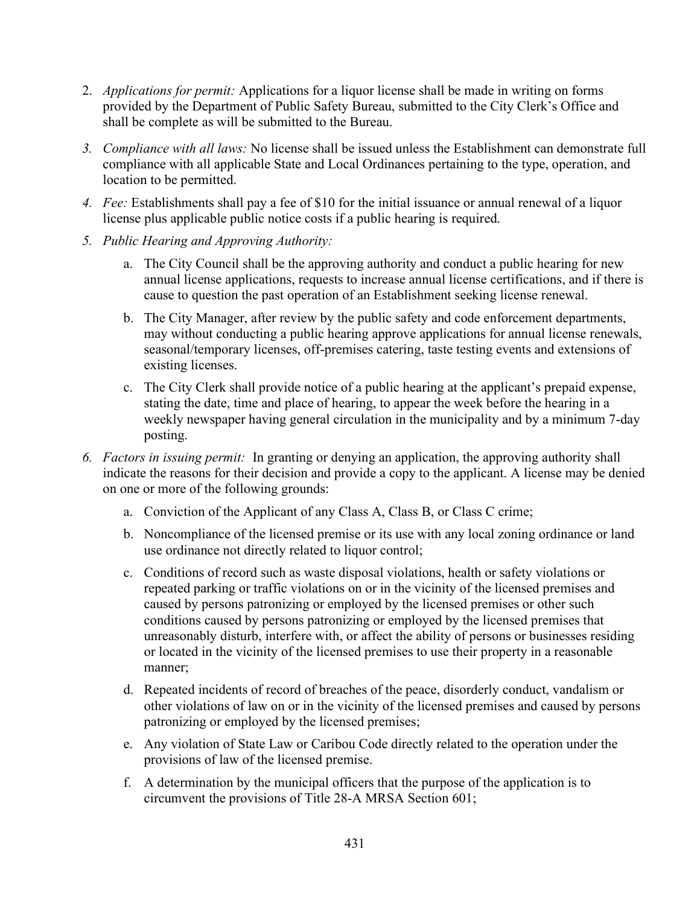- 2. Applications for permit: Applications for a liquor license shall be made in writing on forms provided by the Department of Public Safety Bureau, submitted to the City Clerk's Office and shall be complete as will be submitted to the Bureau.
- 3. Compliance with all laws: No license shall be issued unless the Establishment can demonstrate full compliance with all applicable State and Local Ordinances pertaining to the type, operation, and location to be permitted.
- 4. Fee: Establishments shall pay a fee of \$10 for the initial issuance or annual renewal of a liquor license plus applicable public notice costs if a public hearing is required.
- 5. Public Hearing and Approving Authority:
	- a. The City Council shall be the approving authority and conduct a public hearing for new annual license applications, requests to increase annual license certifications, and if there is cause to question the past operation of an Establishment seeking license renewal.
	- b. The City Manager, after review by the public safety and code enforcement departments, may without conducting a public hearing approve applications for annual license renewals, seasonal/temporary licenses, off-premises catering, taste testing events and extensions of existing licenses.
	- c. The City Clerk shall provide notice of a public hearing at the applicant's prepaid expense, stating the date, time and place of hearing, to appear the week before the hearing in a weekly newspaper having general circulation in the municipality and by a minimum 7-day posting.
- 6. Factors in issuing permit: In granting or denying an application, the approving authority shall indicate the reasons for their decision and provide a copy to the applicant. A license may be denied on one or more of the following grounds:
	- a. Conviction of the Applicant of any Class A, Class B, or Class C crime;
	- b. Noncompliance of the licensed premise or its use with any local zoning ordinance or land use ordinance not directly related to liquor control;
	- c. Conditions of record such as waste disposal violations, health or safety violations or repeated parking or traffic violations on or in the vicinity of the licensed premises and caused by persons patronizing or employed by the licensed premises or other such conditions caused by persons patronizing or employed by the licensed premises that unreasonably disturb, interfere with, or affect the ability of persons or businesses residing or located in the vicinity of the licensed premises to use their property in a reasonable manner;
	- d. Repeated incidents of record of breaches of the peace, disorderly conduct, vandalism or other violations of law on or in the vicinity of the licensed premises and caused by persons patronizing or employed by the licensed premises;
	- e. Any violation of State Law or Caribou Code directly related to the operation under the provisions of law of the licensed premise.
	- f. A determination by the municipal officers that the purpose of the application is to circumvent the provisions of Title 28-A MRSA Section 601;